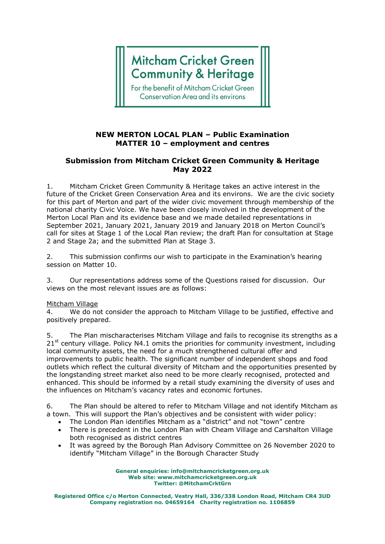# **Mitcham Cricket Green Community & Heritage**

For the benefit of Mitcham Cricket Green **Conservation Area and its environs** 

## **NEW MERTON LOCAL PLAN – Public Examination MATTER 10 – employment and centres**

## **Submission from Mitcham Cricket Green Community & Heritage May 2022**

1. Mitcham Cricket Green Community & Heritage takes an active interest in the future of the Cricket Green Conservation Area and its environs. We are the civic society for this part of Merton and part of the wider civic movement through membership of the national charity Civic Voice. We have been closely involved in the development of the Merton Local Plan and its evidence base and we made detailed representations in September 2021, January 2021, January 2019 and January 2018 on Merton Council's call for sites at Stage 1 of the Local Plan review; the draft Plan for consultation at Stage 2 and Stage 2a; and the submitted Plan at Stage 3.

2. This submission confirms our wish to participate in the Examination's hearing session on Matter 10.

3. Our representations address some of the Questions raised for discussion. Our views on the most relevant issues are as follows:

### Mitcham Village

4. We do not consider the approach to Mitcham Village to be justified, effective and positively prepared.

5. The Plan mischaracterises Mitcham Village and fails to recognise its strengths as a  $21<sup>st</sup>$  century village. Policy N4.1 omits the priorities for community investment, including local community assets, the need for a much strengthened cultural offer and improvements to public health. The significant number of independent shops and food outlets which reflect the cultural diversity of Mitcham and the opportunities presented by the longstanding street market also need to be more clearly recognised, protected and enhanced. This should be informed by a retail study examining the diversity of uses and the influences on Mitcham's vacancy rates and economic fortunes.

6. The Plan should be altered to refer to Mitcham Village and not identify Mitcham as a town. This will support the Plan's objectives and be consistent with wider policy:

- The London Plan identifies Mitcham as a "district" and not "town" centre
- There is precedent in the London Plan with Cheam Village and Carshalton Village both recognised as district centres
- It was agreed by the Borough Plan Advisory Committee on 26 November 2020 to identify "Mitcham Village" in the Borough Character Study

**General enquiries: info@mitchamcricketgreen.org.uk Web site: www.mitchamcricketgreen.org.uk Twitter: @MitchamCrktGrn**

**Registered Office c/o Merton Connected, Vestry Hall, 336/338 London Road, Mitcham CR4 3UD Company registration no. 04659164 Charity registration no. 1106859**